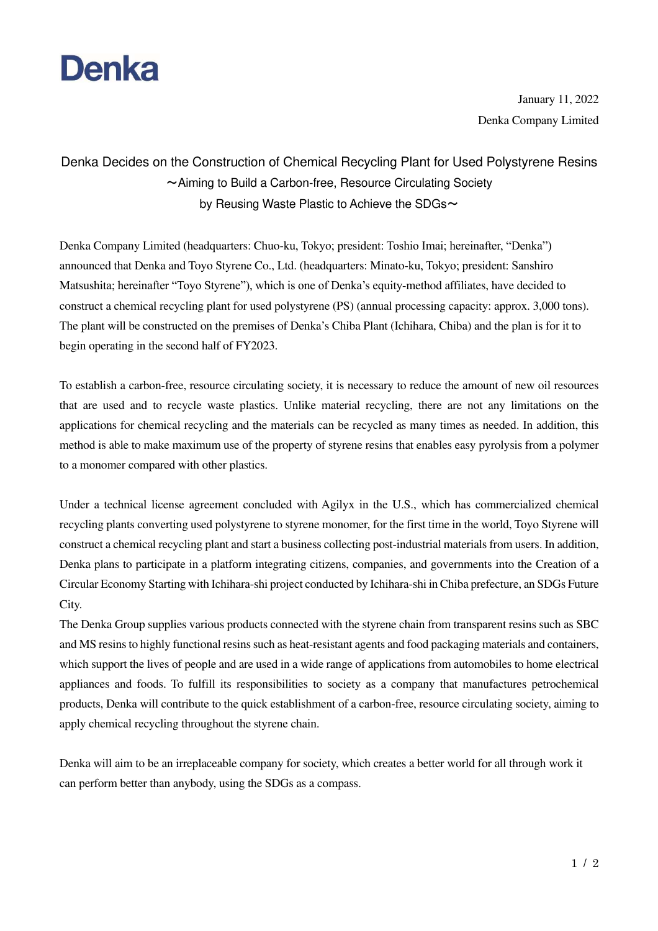

 January 11, 2022 Denka Company Limited

## Denka Decides on the Construction of Chemical Recycling Plant for Used Polystyrene Resins ~Aiming to Build a Carbon-free, Resource Circulating Society by Reusing Waste Plastic to Achieve the SDGs $\sim$

Denka Company Limited (headquarters: Chuo-ku, Tokyo; president: Toshio Imai; hereinafter, "Denka") announced that Denka and Toyo Styrene Co., Ltd. (headquarters: Minato-ku, Tokyo; president: Sanshiro Matsushita; hereinafter "Toyo Styrene"), which is one of Denka's equity-method affiliates, have decided to construct a chemical recycling plant for used polystyrene (PS) (annual processing capacity: approx. 3,000 tons). The plant will be constructed on the premises of Denka's Chiba Plant (Ichihara, Chiba) and the plan is for it to begin operating in the second half of FY2023.

To establish a carbon-free, resource circulating society, it is necessary to reduce the amount of new oil resources that are used and to recycle waste plastics. Unlike material recycling, there are not any limitations on the applications for chemical recycling and the materials can be recycled as many times as needed. In addition, this method is able to make maximum use of the property of styrene resins that enables easy pyrolysis from a polymer to a monomer compared with other plastics.

Under a technical license agreement concluded with Agilyx in the U.S., which has commercialized chemical recycling plants converting used polystyrene to styrene monomer, for the first time in the world, Toyo Styrene will construct a chemical recycling plant and start a business collecting post-industrial materials from users. In addition, Denka plans to participate in a platform integrating citizens, companies, and governments into the Creation of a Circular Economy Starting with Ichihara-shi project conducted by Ichihara-shi in Chiba prefecture, an SDGs Future City.

The Denka Group supplies various products connected with the styrene chain from transparent resins such as SBC and MS resins to highly functional resins such as heat-resistant agents and food packaging materials and containers, which support the lives of people and are used in a wide range of applications from automobiles to home electrical appliances and foods. To fulfill its responsibilities to society as a company that manufactures petrochemical products, Denka will contribute to the quick establishment of a carbon-free, resource circulating society, aiming to apply chemical recycling throughout the styrene chain.

Denka will aim to be an irreplaceable company for society, which creates a better world for all through work it can perform better than anybody, using the SDGs as a compass.